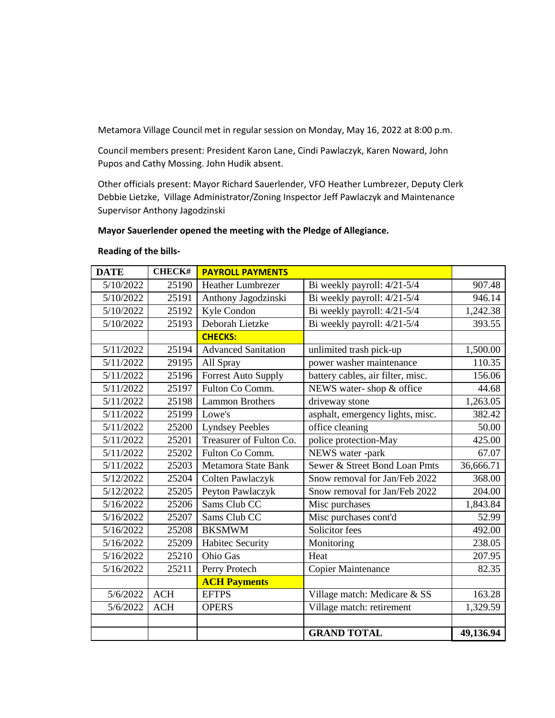Metamora Village Council met in regular session on Monday, May 16, 2022 at 8:00 p.m.

Council members present: President Karon Lane, Cindi Pawlaczyk, Karen Noward, John Pupos and Cathy Mossing. John Hudik absent.

Other officials present: Mayor Richard Sauerlender, VFO Heather Lumbrezer, Deputy Clerk Debbie Lietzke, Village Administrator/Zoning Inspector Jeff Pawlaczyk and Maintenance Supervisor Anthony Jagodzinski

## **Mayor Sauerlender opened the meeting with the Pledge of Allegiance.**

## **Reading of the bills-**

| <b>DATE</b> | <b>CHECK#</b> | <b>PAYROLL PAYMENTS</b>    |                                   |           |
|-------------|---------------|----------------------------|-----------------------------------|-----------|
| 5/10/2022   | 25190         | Heather Lumbrezer          | Bi weekly payroll: 4/21-5/4       | 907.48    |
| 5/10/2022   | 25191         | Anthony Jagodzinski        | Bi weekly payroll: 4/21-5/4       | 946.14    |
| 5/10/2022   | 25192         | Kyle Condon                | Bi weekly payroll: 4/21-5/4       | 1,242.38  |
| 5/10/2022   | 25193         | Deborah Lietzke            | Bi weekly payroll: 4/21-5/4       | 393.55    |
|             |               | <b>CHECKS:</b>             |                                   |           |
| 5/11/2022   | 25194         | <b>Advanced Sanitation</b> | unlimited trash pick-up           | 1,500.00  |
| 5/11/2022   | 29195         | All Spray                  | power washer maintenance          | 110.35    |
| 5/11/2022   | 25196         | <b>Forrest Auto Supply</b> | battery cables, air filter, misc. | 156.06    |
| 5/11/2022   | 25197         | Fulton Co Comm.            | NEWS water-shop & office          | 44.68     |
| 5/11/2022   | 25198         | <b>Lammon Brothers</b>     | driveway stone                    | 1,263.05  |
| 5/11/2022   | 25199         | Lowe's                     | asphalt, emergency lights, misc.  | 382.42    |
| 5/11/2022   | 25200         | <b>Lyndsey Peebles</b>     | office cleaning                   | 50.00     |
| 5/11/2022   | 25201         | Treasurer of Fulton Co.    | police protection-May             | 425.00    |
| 5/11/2022   | 25202         | Fulton Co Comm.            | NEWS water -park                  | 67.07     |
| 5/11/2022   | 25203         | Metamora State Bank        | Sewer & Street Bond Loan Pmts     | 36,666.71 |
| 5/12/2022   | 25204         | Colten Pawlaczyk           | Snow removal for Jan/Feb 2022     | 368.00    |
| 5/12/2022   | 25205         | Peyton Pawlaczyk           | Snow removal for Jan/Feb 2022     | 204.00    |
| 5/16/2022   | 25206         | Sams Club CC               | Misc purchases                    | 1,843.84  |
| 5/16/2022   | 25207         | Sams Club CC               | Misc purchases cont'd             | 52.99     |
| 5/16/2022   | 25208         | <b>BKSMWM</b>              | Solicitor fees                    | 492.00    |
| 5/16/2022   | 25209         | <b>Habitec Security</b>    | Monitoring                        | 238.05    |
| 5/16/2022   | 25210         | <b>Ohio Gas</b>            | Heat                              | 207.95    |
| 5/16/2022   | 25211         | Perry Protech              | Copier Maintenance                | 82.35     |
|             |               | <b>ACH Payments</b>        |                                   |           |
| 5/6/2022    | <b>ACH</b>    | <b>EFTPS</b>               | Village match: Medicare & SS      | 163.28    |
| 5/6/2022    | <b>ACH</b>    | <b>OPERS</b>               | Village match: retirement         | 1,329.59  |
|             |               |                            |                                   |           |
|             |               |                            | <b>GRAND TOTAL</b>                | 49,136.94 |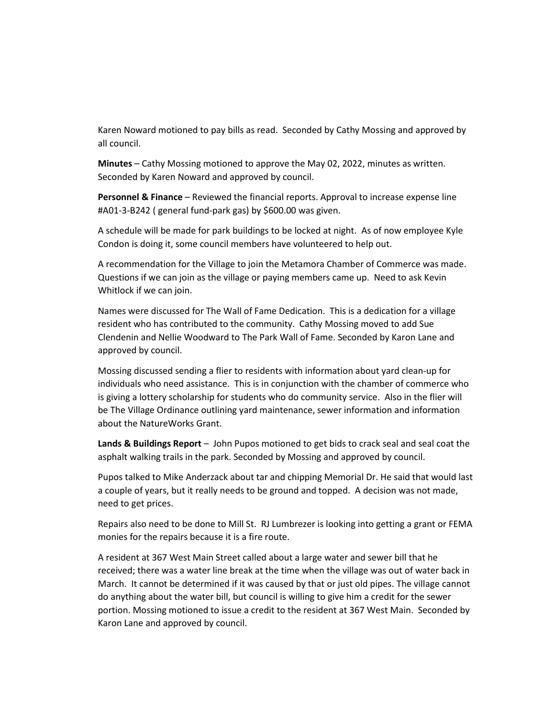Karen Noward motioned to pay bills as read. Seconded by Cathy Mossing and approved by all council.

**Minutes** – Cathy Mossing motioned to approve the May 02, 2022, minutes as written. Seconded by Karen Noward and approved by council.

**Personnel & Finance** – Reviewed the financial reports. Approval to increase expense line #A01-3-B242 ( general fund-park gas) by \$600.00 was given.

A schedule will be made for park buildings to be locked at night. As of now employee Kyle Condon is doing it, some council members have volunteered to help out.

A recommendation for the Village to join the Metamora Chamber of Commerce was made. Questions if we can join as the village or paying members came up. Need to ask Kevin Whitlock if we can join.

Names were discussed for The Wall of Fame Dedication. This is a dedication for a village resident who has contributed to the community. Cathy Mossing moved to add Sue Clendenin and Nellie Woodward to The Park Wall of Fame. Seconded by Karon Lane and approved by council.

Mossing discussed sending a flier to residents with information about yard clean-up for individuals who need assistance. This is in conjunction with the chamber of commerce who is giving a lottery scholarship for students who do community service. Also in the flier will be The Village Ordinance outlining yard maintenance, sewer information and information about the NatureWorks Grant.

**Lands & Buildings Report** – John Pupos motioned to get bids to crack seal and seal coat the asphalt walking trails in the park. Seconded by Mossing and approved by council.

Pupos talked to Mike Anderzack about tar and chipping Memorial Dr. He said that would last a couple of years, but it really needs to be ground and topped. A decision was not made, need to get prices.

Repairs also need to be done to Mill St. RJ Lumbrezer is looking into getting a grant or FEMA monies for the repairs because it is a fire route.

A resident at 367 West Main Street called about a large water and sewer bill that he received; there was a water line break at the time when the village was out of water back in March. It cannot be determined if it was caused by that or just old pipes. The village cannot do anything about the water bill, but council is willing to give him a credit for the sewer portion. Mossing motioned to issue a credit to the resident at 367 West Main. Seconded by Karon Lane and approved by council.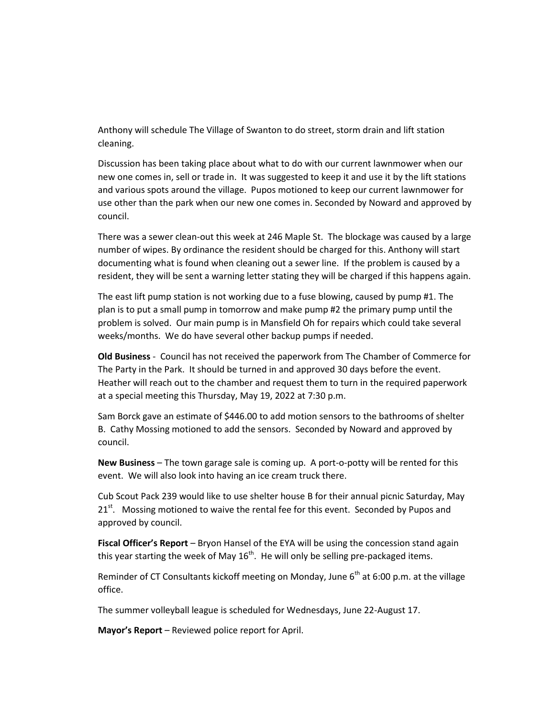Anthony will schedule The Village of Swanton to do street, storm drain and lift station cleaning.

Discussion has been taking place about what to do with our current lawnmower when our new one comes in, sell or trade in. It was suggested to keep it and use it by the lift stations and various spots around the village. Pupos motioned to keep our current lawnmower for use other than the park when our new one comes in. Seconded by Noward and approved by council.

There was a sewer clean-out this week at 246 Maple St. The blockage was caused by a large number of wipes. By ordinance the resident should be charged for this. Anthony will start documenting what is found when cleaning out a sewer line. If the problem is caused by a resident, they will be sent a warning letter stating they will be charged if this happens again.

The east lift pump station is not working due to a fuse blowing, caused by pump #1. The plan is to put a small pump in tomorrow and make pump #2 the primary pump until the problem is solved. Our main pump is in Mansfield Oh for repairs which could take several weeks/months. We do have several other backup pumps if needed.

**Old Business** - Council has not received the paperwork from The Chamber of Commerce for The Party in the Park. It should be turned in and approved 30 days before the event. Heather will reach out to the chamber and request them to turn in the required paperwork at a special meeting this Thursday, May 19, 2022 at 7:30 p.m.

Sam Borck gave an estimate of \$446.00 to add motion sensors to the bathrooms of shelter B. Cathy Mossing motioned to add the sensors. Seconded by Noward and approved by council.

**New Business** – The town garage sale is coming up. A port-o-potty will be rented for this event. We will also look into having an ice cream truck there.

Cub Scout Pack 239 would like to use shelter house B for their annual picnic Saturday, May  $21<sup>st</sup>$ . Mossing motioned to waive the rental fee for this event. Seconded by Pupos and approved by council.

**Fiscal Officer's Report** – Bryon Hansel of the EYA will be using the concession stand again this year starting the week of May  $16<sup>th</sup>$ . He will only be selling pre-packaged items.

Reminder of CT Consultants kickoff meeting on Monday, June  $6<sup>th</sup>$  at 6:00 p.m. at the village office.

The summer volleyball league is scheduled for Wednesdays, June 22-August 17.

**Mayor's Report** – Reviewed police report for April.